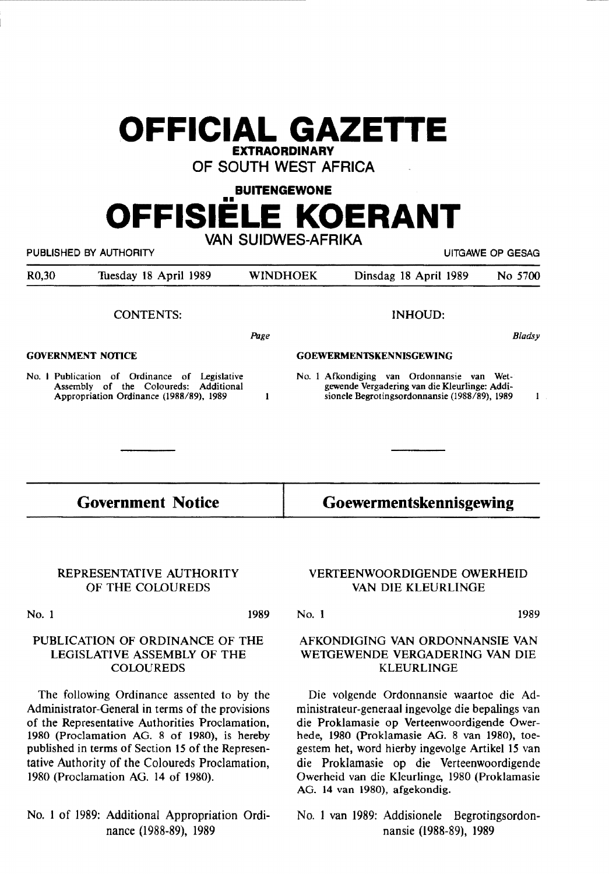|                      |  | <b>OFFICIAL GAZETTE</b> |  |  |  |  |  |  |
|----------------------|--|-------------------------|--|--|--|--|--|--|
| <b>EXTRAORDINARY</b> |  |                         |  |  |  |  |  |  |

OF SOUTH WEST AFRICA

# **BUITENGEWONE OFFISIELE KOERANT**

VAN SUIDWES-AFRIKA

PUBLISHED BY AUTHORITY **EXECUTE A SECURE 2018 THE SECURE 2019 OF SESAGREM** R0,30 Tuesday 18 April 1989 WINDHOEK Dinsdag 18 April 1989 No 5700

#### CONTENTS:

Page

 $\mathbf{I}$ 

**GOVERNMENT NOTICE** 

No. I Publication of Ordinance of **Legislative**  Assembly of the Coloureds: Additional Appropriation Ordinance (1988/89), 1989

#### INHOUD:

*Bladsy* 

 $\mathbf{I}% _{t}\left| \mathbf{I}_{t}\right| =\mathbf{I}_{t}\left| \mathbf{I}_{t}\right|$ 

No. I Afkondiging van Ordonnansie van Wetgewende Vergadering van die KJeurlinge: Addisionele Begrotingsordonnansie (1988/89), 1989

**GOEWERMEN'ISKENNISGEWING** 

**Government Notice** 

## **Goewermentskennisgewing**

#### REPRESENTATIVE AUTHORITY OF THE COLOUREDS

No. 1

#### 1989

#### PUBLICATION OF ORDINANCE OF THE LEGISLATIVE ASSEMBLY OF THE **COLOUREDS**

The following Ordinance assented to by the Administrator-General in terms of the provisions of the Representative Authorities Proclamation, 1980 (Proclamation **AG. 8** of 1980), is hereby published in terms of Section 15 of the Representative Authority of the Coloureds Proclamation, 1980 (Proclamation AG. 14 of 1980).

No. 1 of 1989: Additional Appropriation Ordinance (1988-89), 1989

#### VERTEENWOORDIGENDE OWERHEID VAN DIE KLEURLINGE

No. l 1989

#### AFKONDIGING VAN ORDONNANSIE VAN WETGEWENDE VERGADERING VAN DIE KLEURLINGE

Die volgende Ordonnansie waartoe die Administrateur-generaal ingevolge die bepalings van die Proklamasie op Verteenwoordigende Owerhede, 1980 (Proklamasie AG. 8 van 1980), toegestem het, word hierby ingevolge Artikel 15 van die Proklamasie op die Verteenwoordigende Owerheid van die Kleurlinge, 1980 (Proklamasie AG. 14 van 1980), afgekondig.

No. 1 van 1989: Addisionele Begrotingsordonnansie (1988-89), 1989